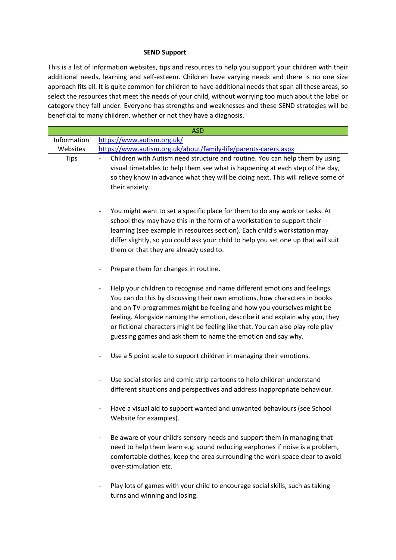## **SEND Support**

This is a list of information websites, tips and resources to help you support your children with their additional needs, learning and self-esteem. Children have varying needs and there is no one size approach fits all. It is quite common for children to have additional needs that span all these areas, so select the resources that meet the needs of your child, without worrying too much about the label or category they fall under. Everyone has strengths and weaknesses and these SEND strategies will be beneficial to many children, whether or not they have a diagnosis.

| <b>ASD</b>  |                                                                                                                                                                                                                                                                                                                                                                                                                                                                    |  |
|-------------|--------------------------------------------------------------------------------------------------------------------------------------------------------------------------------------------------------------------------------------------------------------------------------------------------------------------------------------------------------------------------------------------------------------------------------------------------------------------|--|
| Information | https://www.autism.org.uk/                                                                                                                                                                                                                                                                                                                                                                                                                                         |  |
| Websites    | https://www.autism.org.uk/about/family-life/parents-carers.aspx                                                                                                                                                                                                                                                                                                                                                                                                    |  |
| <b>Tips</b> | Children with Autism need structure and routine. You can help them by using<br>visual timetables to help them see what is happening at each step of the day,<br>so they know in advance what they will be doing next. This will relieve some of<br>their anxiety.                                                                                                                                                                                                  |  |
|             | You might want to set a specific place for them to do any work or tasks. At<br>school they may have this in the form of a workstation to support their<br>learning (see example in resources section). Each child's workstation may<br>differ slightly, so you could ask your child to help you set one up that will suit<br>them or that they are already used to.                                                                                                |  |
|             | Prepare them for changes in routine.                                                                                                                                                                                                                                                                                                                                                                                                                               |  |
|             | Help your children to recognise and name different emotions and feelings.<br>You can do this by discussing their own emotions, how characters in books<br>and on TV programmes might be feeling and how you yourselves might be<br>feeling. Alongside naming the emotion, describe it and explain why you, they<br>or fictional characters might be feeling like that. You can also play role play<br>guessing games and ask them to name the emotion and say why. |  |
|             | Use a 5 point scale to support children in managing their emotions.                                                                                                                                                                                                                                                                                                                                                                                                |  |
|             | Use social stories and comic strip cartoons to help children understand<br>different situations and perspectives and address inappropriate behaviour.                                                                                                                                                                                                                                                                                                              |  |
|             | Have a visual aid to support wanted and unwanted behaviours (see School<br>Website for examples).                                                                                                                                                                                                                                                                                                                                                                  |  |
|             | Be aware of your child's sensory needs and support them in managing that<br>$\qquad \qquad \blacksquare$<br>need to help them learn e.g. sound reducing earphones if noise is a problem,<br>comfortable clothes, keep the area surrounding the work space clear to avoid<br>over-stimulation etc.                                                                                                                                                                  |  |
|             | Play lots of games with your child to encourage social skills, such as taking<br>$\overline{\phantom{a}}$<br>turns and winning and losing.                                                                                                                                                                                                                                                                                                                         |  |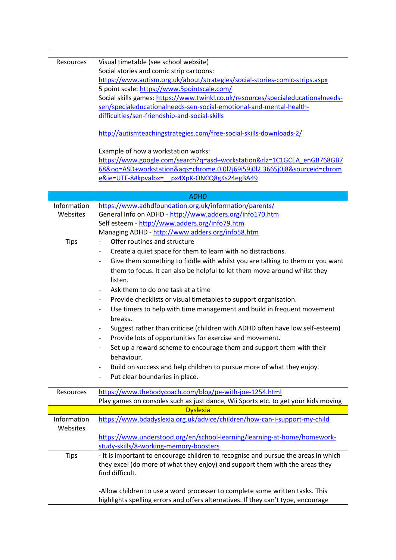| Resources   | Visual timetable (see school website)                                                                     |
|-------------|-----------------------------------------------------------------------------------------------------------|
|             | Social stories and comic strip cartoons:                                                                  |
|             | https://www.autism.org.uk/about/strategies/social-stories-comic-strips.aspx                               |
|             | 5 point scale: https://www.5pointscale.com/                                                               |
|             | Social skills games: https://www.twinkl.co.uk/resources/specialeducationalneeds-                          |
|             | sen/specialeducationalneeds-sen-social-emotional-and-mental-health-                                       |
|             | difficulties/sen-friendship-and-social-skills                                                             |
|             |                                                                                                           |
|             | http://autismteachingstrategies.com/free-social-skills-downloads-2/                                       |
|             | Example of how a workstation works:                                                                       |
|             | https://www.google.com/search?q=asd+workstation&rlz=1C1GCEA_enGB768GB7                                    |
|             | 68&oq=ASD+workstation&aqs=chrome.0.0l2j69i59j0l2.3665j0j8&sourceid=chrom                                  |
|             | e&ie=UTF-8#kpvalbx= px4XpK-ONCQ8gKs24egBA49                                                               |
|             |                                                                                                           |
|             | <b>ADHD</b>                                                                                               |
| Information | https://www.adhdfoundation.org.uk/information/parents/                                                    |
| Websites    | General Info on ADHD - http://www.adders.org/info170.htm                                                  |
|             | Self esteem - http://www.adders.org/info79.htm                                                            |
|             | Managing ADHD - http://www.adders.org/info58.htm                                                          |
| <b>Tips</b> | Offer routines and structure<br>$\frac{1}{2}$                                                             |
|             | Create a quiet space for them to learn with no distractions.                                              |
|             | Give them something to fiddle with whilst you are talking to them or you want                             |
|             |                                                                                                           |
|             | them to focus. It can also be helpful to let them move around whilst they                                 |
|             | listen.                                                                                                   |
|             | Ask them to do one task at a time                                                                         |
|             | Provide checklists or visual timetables to support organisation.                                          |
|             | Use timers to help with time management and build in frequent movement                                    |
|             | breaks.                                                                                                   |
|             | Suggest rather than criticise (children with ADHD often have low self-esteem)<br>$\overline{\phantom{a}}$ |
|             | Provide lots of opportunities for exercise and movement.                                                  |
|             | Set up a reward scheme to encourage them and support them with their                                      |
|             | behaviour.                                                                                                |
|             | Build on success and help children to pursue more of what they enjoy.                                     |
|             | Put clear boundaries in place.                                                                            |
|             |                                                                                                           |
| Resources   | https://www.thebodycoach.com/blog/pe-with-joe-1254.html                                                   |
|             | Play games on consoles such as just dance, Wii Sports etc. to get your kids moving                        |
|             | <b>Dyslexia</b>                                                                                           |
| Information | https://www.bdadyslexia.org.uk/advice/children/how-can-i-support-my-child                                 |
| Websites    |                                                                                                           |
|             | https://www.understood.org/en/school-learning/learning-at-home/homework-                                  |
|             | study-skills/8-working-memory-boosters                                                                    |
| <b>Tips</b> | - It is important to encourage children to recognise and pursue the areas in which                        |
|             | they excel (do more of what they enjoy) and support them with the areas they                              |
|             | find difficult.                                                                                           |
|             |                                                                                                           |
|             | -Allow children to use a word processer to complete some written tasks. This                              |
|             | highlights spelling errors and offers alternatives. If they can't type, encourage                         |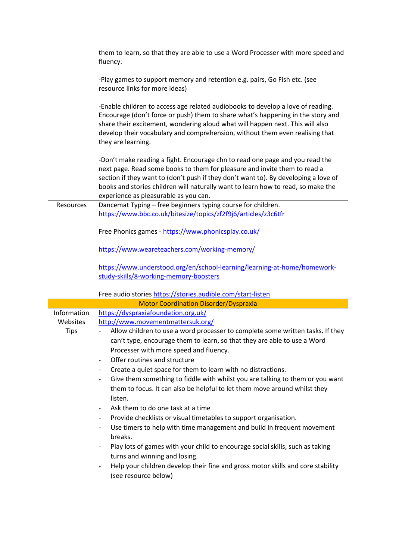|             | them to learn, so that they are able to use a Word Processer with more speed and<br>fluency.                                                                                                                                                                                                                                                                                  |
|-------------|-------------------------------------------------------------------------------------------------------------------------------------------------------------------------------------------------------------------------------------------------------------------------------------------------------------------------------------------------------------------------------|
|             | -Play games to support memory and retention e.g. pairs, Go Fish etc. (see<br>resource links for more ideas)                                                                                                                                                                                                                                                                   |
|             | -Enable children to access age related audiobooks to develop a love of reading.<br>Encourage (don't force or push) them to share what's happening in the story and<br>share their excitement, wondering aloud what will happen next. This will also<br>develop their vocabulary and comprehension, without them even realising that<br>they are learning.                     |
|             | -Don't make reading a fight. Encourage chn to read one page and you read the<br>next page. Read some books to them for pleasure and invite them to read a<br>section if they want to (don't push if they don't want to). By developing a love of<br>books and stories children will naturally want to learn how to read, so make the<br>experience as pleasurable as you can. |
| Resources   | Dancemat Typing - free beginners typing course for children.                                                                                                                                                                                                                                                                                                                  |
|             | https://www.bbc.co.uk/bitesize/topics/zf2f9j6/articles/z3c6tfr                                                                                                                                                                                                                                                                                                                |
|             | Free Phonics games - https://www.phonicsplay.co.uk/                                                                                                                                                                                                                                                                                                                           |
|             | https://www.weareteachers.com/working-memory/                                                                                                                                                                                                                                                                                                                                 |
|             | https://www.understood.org/en/school-learning/learning-at-home/homework-                                                                                                                                                                                                                                                                                                      |
|             | study-skills/8-working-memory-boosters                                                                                                                                                                                                                                                                                                                                        |
|             |                                                                                                                                                                                                                                                                                                                                                                               |
|             | Free audio stories https://stories.audible.com/start-listen                                                                                                                                                                                                                                                                                                                   |
|             | <b>Motor Coordination Disorder/Dyspraxia</b>                                                                                                                                                                                                                                                                                                                                  |
| Information | https://dyspraxiafoundation.org.uk/                                                                                                                                                                                                                                                                                                                                           |
| Websites    | http://www.movementmattersuk.org/                                                                                                                                                                                                                                                                                                                                             |
| <b>Tips</b> | Allow children to use a word processer to complete some written tasks. If they<br>can't type, encourage them to learn, so that they are able to use a Word<br>Processer with more speed and fluency.                                                                                                                                                                          |
|             | Offer routines and structure                                                                                                                                                                                                                                                                                                                                                  |
|             | Create a quiet space for them to learn with no distractions.                                                                                                                                                                                                                                                                                                                  |
|             | Give them something to fiddle with whilst you are talking to them or you want                                                                                                                                                                                                                                                                                                 |
|             | them to focus. It can also be helpful to let them move around whilst they<br>listen.                                                                                                                                                                                                                                                                                          |
|             | Ask them to do one task at a time                                                                                                                                                                                                                                                                                                                                             |
|             | Provide checklists or visual timetables to support organisation.                                                                                                                                                                                                                                                                                                              |
|             | Use timers to help with time management and build in frequent movement<br>breaks.                                                                                                                                                                                                                                                                                             |
|             | Play lots of games with your child to encourage social skills, such as taking<br>turns and winning and losing.                                                                                                                                                                                                                                                                |
|             | Help your children develop their fine and gross motor skills and core stability<br>(see resource below)                                                                                                                                                                                                                                                                       |
|             |                                                                                                                                                                                                                                                                                                                                                                               |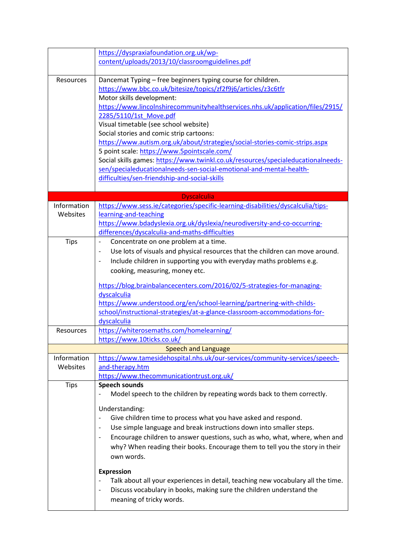|             | https://dyspraxiafoundation.org.uk/wp-<br>content/uploads/2013/10/classroomguidelines.pdf                                                          |
|-------------|----------------------------------------------------------------------------------------------------------------------------------------------------|
|             |                                                                                                                                                    |
| Resources   | Dancemat Typing - free beginners typing course for children.<br>https://www.bbc.co.uk/bitesize/topics/zf2f9j6/articles/z3c6tfr                     |
|             | Motor skills development:                                                                                                                          |
|             | https://www.lincolnshirecommunityhealthservices.nhs.uk/application/files/2915/                                                                     |
|             | 2285/5110/1st Move.pdf                                                                                                                             |
|             | Visual timetable (see school website)                                                                                                              |
|             | Social stories and comic strip cartoons:                                                                                                           |
|             | https://www.autism.org.uk/about/strategies/social-stories-comic-strips.aspx                                                                        |
|             | 5 point scale: https://www.5pointscale.com/                                                                                                        |
|             | Social skills games: https://www.twinkl.co.uk/resources/specialeducationalneeds-                                                                   |
|             | sen/specialeducationalneeds-sen-social-emotional-and-mental-health-                                                                                |
|             | difficulties/sen-friendship-and-social-skills                                                                                                      |
|             | <b>Dyscalculia</b>                                                                                                                                 |
| Information | https://www.sess.ie/categories/specific-learning-disabilities/dyscalculia/tips-                                                                    |
| Websites    | learning-and-teaching                                                                                                                              |
|             | https://www.bdadyslexia.org.uk/dyslexia/neurodiversity-and-co-occurring-                                                                           |
|             | differences/dyscalculia-and-maths-difficulties                                                                                                     |
| <b>Tips</b> | Concentrate on one problem at a time.                                                                                                              |
|             | Use lots of visuals and physical resources that the children can move around.                                                                      |
|             | Include children in supporting you with everyday maths problems e.g.<br>$\overline{\phantom{a}}$                                                   |
|             | cooking, measuring, money etc.                                                                                                                     |
|             |                                                                                                                                                    |
|             | https://blog.brainbalancecenters.com/2016/02/5-strategies-for-managing-                                                                            |
|             | dyscalculia                                                                                                                                        |
|             | https://www.understood.org/en/school-learning/partnering-with-childs-<br>school/instructional-strategies/at-a-glance-classroom-accommodations-for- |
|             | dyscalculia                                                                                                                                        |
| Resources   | https://whiterosemaths.com/homelearning/                                                                                                           |
|             | https://www.10ticks.co.uk/                                                                                                                         |
|             | <b>Speech and Language</b>                                                                                                                         |
| Information | https://www.tamesidehospital.nhs.uk/our-services/community-services/speech-                                                                        |
| Websites    | and-therapy.htm                                                                                                                                    |
|             | https://www.thecommunicationtrust.org.uk/                                                                                                          |
| <b>Tips</b> | <b>Speech sounds</b>                                                                                                                               |
|             | Model speech to the children by repeating words back to them correctly.                                                                            |
|             | Understanding:                                                                                                                                     |
|             | Give children time to process what you have asked and respond.                                                                                     |
|             | Use simple language and break instructions down into smaller steps.                                                                                |
|             | Encourage children to answer questions, such as who, what, where, when and                                                                         |
|             | why? When reading their books. Encourage them to tell you the story in their                                                                       |
|             | own words.                                                                                                                                         |
|             | <b>Expression</b>                                                                                                                                  |
|             | Talk about all your experiences in detail, teaching new vocabulary all the time.                                                                   |
|             | Discuss vocabulary in books, making sure the children understand the<br>$\overline{\phantom{a}}$                                                   |
|             | meaning of tricky words.                                                                                                                           |
|             |                                                                                                                                                    |